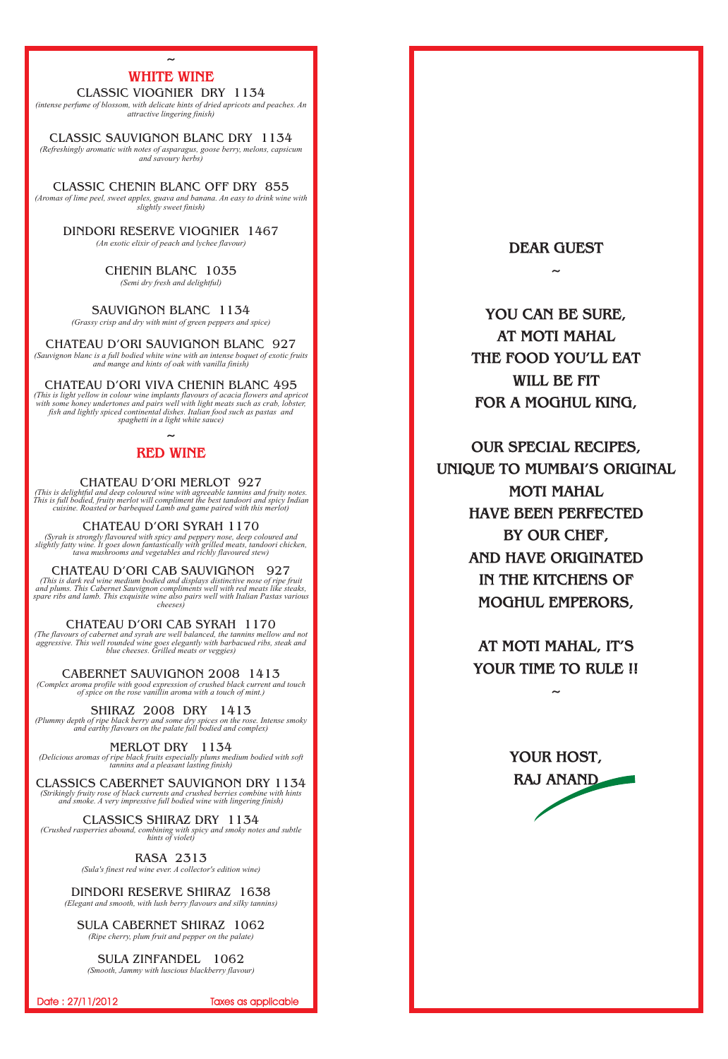#### CLASSIC VIOGNIER DRY 1134

#### DINDORI RESERVE VIOGNIER 1467

### SAUVIGNON BLANC 1134

#### CHATEAU D'ORI SAUVIGNON BLANC 927

## CHATEAU D'ORI VIVA CHENIN BLANC 495

#### CHATEAU D'ORI MERLOT 927

## CHATEAU D'ORI SYRAH 1170

## CHATEAU D'ORI CAB SAUVIGNON 927

## CHATEAU D'ORI CAB SYRAH 1170

CABERNET SAUVIGNON 2008 1413

SHIRAZ 2008 DRY 1413

## MERLOT DRY 1134

# **~ RED WINE**

CLASSIC SAUVIGNON BLANC DRY 1134 *(Refreshingly aromatic with notes of asparagus, goose berry, melons, capsicum and savoury herbs)*

## CLASSICS SHIRAZ DRY 1134

CLASSIC CHENIN BLANC OFF DRY 855 *(Aromas of lime peel, sweet apples, guava and banana. An easy to drink wine with slightly sweet finish)*

# DINDORI RESERVE SHIRAZ 1638

# SULA CABERNET SHIRAZ 1062

CHENIN BLANC 1035 *(Semi dry fresh and delightful)*

# **WHITE WINE**

*(intense perfume of blossom, with delicate hints of dried apricots and peaches. An attractive lingering finish)*

*(An exotic elixir of peach and lychee flavour)*

*(Grassy crisp and dry with mint of green peppers and spice)*

*(Sauvignon blanc is a full bodied white wine with an intense boquet of exotic fruits and mange and hints of oak with vanilla finish)*

*(This is light yellow in colour wine implants flavours of acacia flowers and apricot*  with some honey undertones and pairs well with light meats such as crab, lobster, *fish and lightly spiced continental dishes. Italian food such as pastas and spaghetti in a light white sauce)*

 *aggressive. This well rounded wine goes elegantly with barbacued ribs, steak and (The flavours of cabernet and syrah are well balanced, the tannins mellow and not blue cheeses. Grilled meats or veggies)*

*(This is delightful and deep coloured wine with agreeable tannins and fruity notes. This is full bodied, fruity merlot will compliment the best tandoori and spicy Indian cuisine. Roasted or barbequed Lamb and game paired with this merlot)*

CLASSICS CABERNET SAUVIGNON DRY 1134 *(Strikingly fruity rose of black currents and crushed berries combine with hints and smoke. A very impressive full bodied wine with lingering finish)*

> RASA 2313 *(Sula's finest red wine ever. A collector's edition wine)*

*(Syrah is strongly flavoured with spicy and peppery nose, deep coloured and slightly fatty wine. It goes down fantastically with grilled meats, tandoori chicken, tawa mushrooms and vegetables and richly flavoured stew)*

#### SULA ZINFANDEL 1062 *(Smooth, Jammy with luscious blackberry flavour)*

Date : 27/11/2012 Taxes as applicable

*(This is dark red wine medium bodied and displays distinctive nose of ripe fruit and plums. This Cabernet Sauvignon compliments well with red meats like steaks, spare ribs and lamb. This exquisite wine also pairs well with Italian Pastas various cheeses)*

*(Complex aroma profile with good expression of crushed black current and touch of spice on the rose vanillin aroma with a touch of mint.)*

*(Plummy depth of ripe black berry and some dry spices on the rose. Intense smoky and earthy flavours on the palate full bodied and complex)*

*(Delicious aromas of ripe black fruits especially plums medium bodied with soft tannins and a pleasant lasting finish)*

*(Crushed rasperries abound, combining with spicy and smoky notes and subtle hints of violet)*

*(Elegant and smooth, with lush berry flavours and silky tannins)*

*(Ripe cherry, plum fruit and pepper on the palate)*

**DEAR GUEST**

**~**

**YOU CAN BE SURE, AT MOTI MAHAL THE FOOD YOU'LL EAT WILL BE FIT FOR A MOGHUL KING,**

**OUR SPECIAL RECIPES, UNIQUE TO MUMBAI'S ORIGINAL MOTI MAHAL HAVE BEEN PERFECTED BY OUR CHEF, AND HAVE ORIGINATED IN THE KITCHENS OF MOGHUL EMPERORS,**

> **AT MOTI MAHAL, IT'S YOUR TIME TO RULE !!**

> > **~**

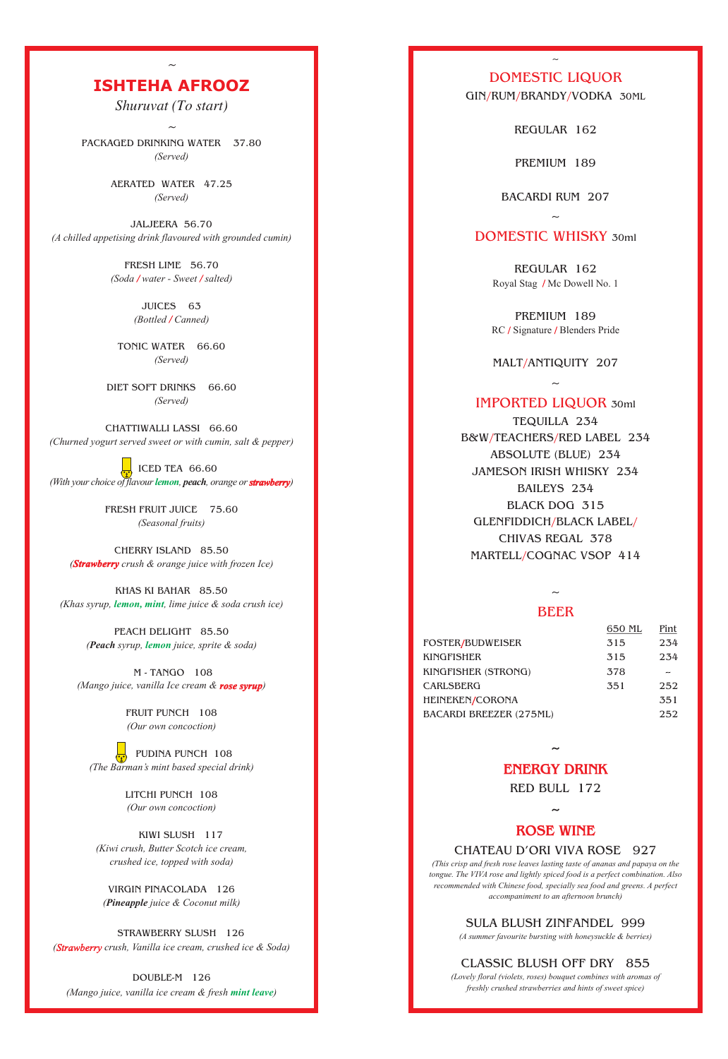REGULAR 162

REGULAR 162 Royal Stag / Mc Dowell No. 1

PREMIUM 189 RC / Signature / Blenders Pride

MALT/ANTIQUITY 207

PREMIUM 189

# IMPORTED LIQUOR 30ml

 $\sim$ 

BACARDI RUM 207

# DOMESTIC WHISKY 30ml

 $\sim$ 

TEQUILLA 234 B&W/TEACHERS/RED LABEL 234 ABSOLUTE (BLUE) 234 JAMESON IRISH WHISKY 234 BAILEYS 234 BLACK DOG 315 GLENFIDDICH/BLACK LABEL/ CHIVAS REGAL 378 MARTELL/COGNAC VSOP 414

**~**

RED BULL 172

**~**

### CHATEAU D'ORI VIVA ROSE 927

### SULA BLUSH ZINFANDEL 999

### CLASSIC BLUSH OFF DRY 855

# DOMESTIC LIQUOR

 $\sim$ 

GIN/RUM/BRANDY/VODKA 30ML

### BEER

 $500$  metal

 $\sim$ 

**ENERGY DRINK**

#### **ROSE WINE**

FRESH LIME 56.70 *(Soda / water - Sweet / salted)* 

 ICED TEA 66.60 *(With your choice of flavour lemon, peach, orange or strawberry)* 

CHERRY ISLAND 85.50 *(Strawberry crush & orange juice with frozen Ice)* 

KHAS KI BAHAR 85.50 *(Khas syrup, lemon, mint, lime juice & soda crush ice)* 

 M - TANGO 108 *(Mango juice, vanilla Ice cream & rose syrup)* 

|                                | OOU ML | rint |
|--------------------------------|--------|------|
| FOSTER/BUDWEISER               | 315    | 234  |
| KINGFISHER                     | 315    | 234  |
| KINGFISHER (STRONG)            | 378    |      |
| CARLSBERG                      | 351    | 252  |
| HEINEKEN/CORONA                |        | 351  |
| <b>BACARDI BREEZER (275ML)</b> |        | 252  |

 STRAWBERRY SLUSH 126 (Strawberry crush, Vanilla ice cream, crushed ice & Soda)

DOUBLE-M 126 (Mango juice, vanilla ice cream & fresh *mint leave*)

*(This crisp and fresh rose leaves lasting taste of ananas and papaya on the tongue. The VIVA rose and lightly spiced food is a perfect combination. Also recommended with Chinese food, specially sea food and greens. A perfect accompaniment to an afternoon brunch)*

*(A summer favourite bursting with honeysuckle & berries)*

*(Lovely floral (violets, roses) bouquet combines with aromas of freshly crushed strawberries and hints of sweet spice)*

*~*

*Shuruvat (To start)*

*~*

PACKAGED DRINKING WATER 37.80 *(Served)*

> AERATED WATER 47.25 *(Served)*

JALJEERA 56.70 *(A chilled appetising drink flavoured with grounded cumin)*

> TONIC WATER 66.60 *(Served)*

DIET SOFT DRINKS 66.60 *(Served)*

CHATTIWALLI LASSI 66.60 *(Churned yogurt served sweet or with cumin, salt & pepper)*

# **ISHTEHA AFROOZ**

FRESH FRUIT JUICE 75.60 *(Seasonal fruits)*

> FRUIT PUNCH 108 *(Our own concoction)*

 PUDINA PUNCH 108 *(The Barman's mint based special drink)*

JUICES 63 *(Bottled Canned) /* 

LITCHI PUNCH 108 *(Our own concoction)*

 KIWI SLUSH 117 *(Kiwi crush, Butter Scotch ice cream, crushed ice, topped with soda)*

VIRGIN PINACOLADA 126 *(Pineapple juice & Coconut milk)*

PEACH DELIGHT 85.50 *(Peach syrup, juice, sprite & soda) lemon*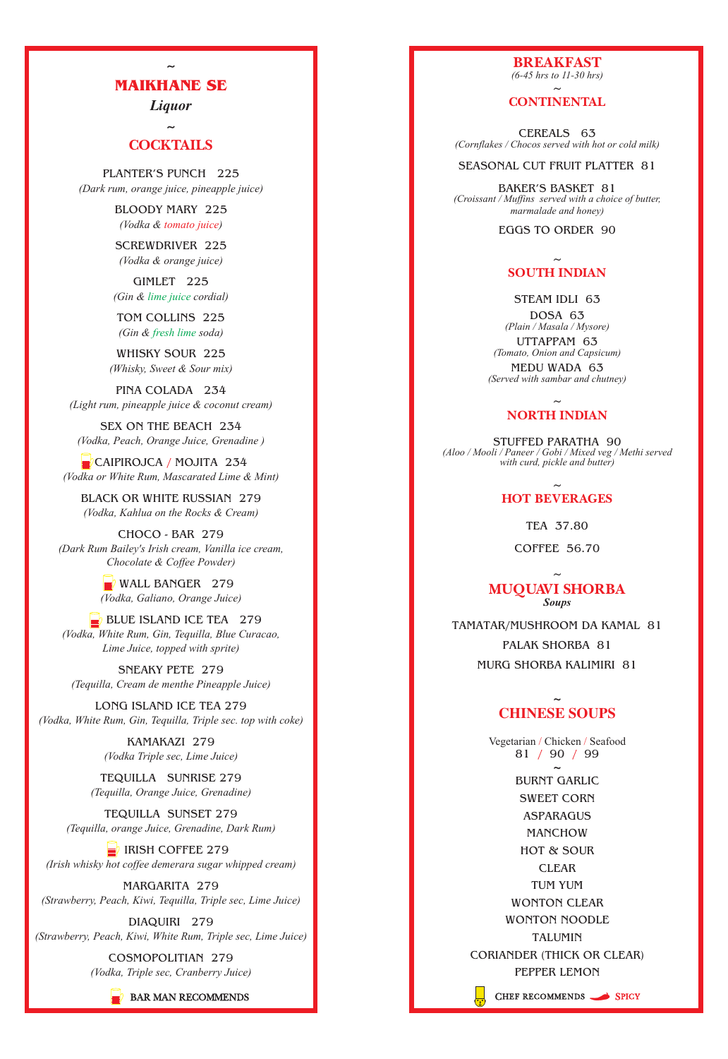*Liquor*

**~**

BLOODY MARY 225 *(Vodka & tomato juice)* 

GIMLET 225 (Gin & lime juice cordial)

TOM COLLINS 225 (Gin & fresh lime soda)

PLANTER'S PUNCH 225 *(Dark rum, orange juice, pineapple juice)*

> SCREWDRIVER 225 *(Vodka & orange juice)*

WHISKY SOUR 225 *(Whisky, Sweet & Sour mix)*

TEQUILLA SUNSET 279

CAIPIROJCA / MOJITA 234 *(Vodka or White Rum, Mascarated Lime & Mint)*

PINA COLADA 234 *(Light rum, pineapple juice & coconut cream)*

SEX ON THE BEACH 234 *(Vodka, Peach, Orange Juice, Grenadine )*

# MAIKHANE SE

 $\mathbb{R}$  WALL BANGER 279 *(Vodka, Galiano, Orange Juice)*

# **COCKTAILS**

BLACK OR WHITE RUSSIAN 279 *(Vodka, Kahlua on the Rocks & Cream)*

 $\Rightarrow$  BLUE ISLAND ICE TEA 279 *(Vodka, White Rum, Gin, Tequilla, Blue Curacao, Lime Juice, topped with sprite)*

CHOCO - BAR 279 *(Dark Rum Bailey's Irish cream, Vanilla ice cream, Chocolate & Coffee Powder)*

SNEAKY PETE 279 *(Tequilla, Cream de menthe Pineapple Juice)*

LONG ISLAND ICE TEA 279 *(Vodka, White Rum, Gin, Tequilla, Triple sec. top with coke)*

> KAMAKAZI 279 *(Vodka Triple sec, Lime Juice)*

# **CONTINENTAL**  $\sim$

## **SOUTH INDIAN**  $\sim$

TEQUILLA SUNRISE 279 *(Tequilla, Orange Juice, Grenadine)*

### **NORTH INDIAN**  $\sim$

## **HOT BEVERAGES**  $\sim$

MARGARITA 279 *(Strawberry, Peach, Kiwi, Tequilla, Triple sec, Lime Juice)*

DIAQUIRI 279 *(Strawberry, Peach, Kiwi, White Rum, Triple sec, Lime Juice)*

> COSMOPOLITIAN 279 *(Vodka, Triple sec, Cranberry Juice)*



Vegetarian / Chicken / Seafood 81 / 90 / 99 **~**

*(Tequilla, orange Juice, Grenadine, Dark Rum)*

 $\equiv$  IRISH COFFEE 279

*(Irish whisky hot coffee demerara sugar whipped cream)*

**BREAKFAST**  *(6-45 hrs to 11-30 hrs)*

CEREALS 63 *(Cornflakes / Chocos served with hot or cold milk)*

#### SEASONAL CUT FRUIT PLATTER 81

BAKER'S BASKET 81 *(Croissant / Muffins served with a choice of butter, marmalade and honey)*

EGGS TO ORDER 90

STEAM IDLI 63

DOSA 63 *(Plain / Masala / Mysore)* UTTAPPAM 63 *(Tomato, Onion and Capsicum)*

MEDU WADA 63 *(Served with sambar and chutney)*

### **MUQUAVI SHORBA**  $\sim$ *Soups*

STUFFED PARATHA 90 *(Aloo / Mooli / Paneer / Gobi / Mixed veg / Methi served with curd, pickle and butter)*

TEA 37.80

COFFEE 56.70

TAMATAR/MUSHROOM DA KAMAL 81 PALAK SHORBA 81 MURG SHORBA KALIMIRI 81

> BURNT GARLIC SWEET CORN ASPARAGUS

# **~ CHINESE SOUPS**

MANCHOW HOT & SOUR CLEAR TUM YUM WONTON CLEAR WONTON NOODLE TALUMIN CORIANDER (THICK OR CLEAR) PEPPER LEMON BAR MAN RECOMMENDS Chef recommends Spicy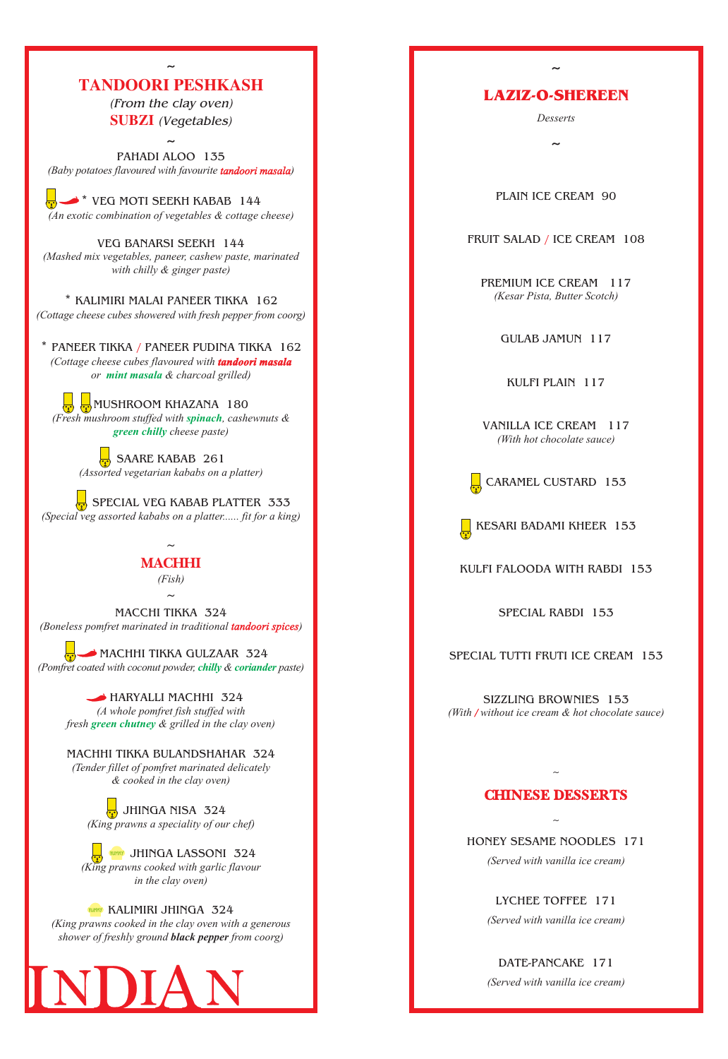**~**

*(From the clay oven) (Vegetables)* **SUBZI** 

\* VEG MOTI SEEKH KABAB 144 *(An exotic combination of vegetables & cottage cheese)*

VEG BANARSI SEEKH 144 *(Mashed mix vegetables, paneer, cashew paste, marinated with chilly & ginger paste)*

\* KALIMIRI MALAI PANEER TIKKA 162 *(Cottage cheese cubes showered with fresh pepper from coorg)*

# **TANDOORI PESHKASH**

 $\frac{1}{10}$  SAARE KABAB 261 *(Assorted vegetarian kababs on a platter)*

# **MACHHI**

 $\sim$ 

 $\frac{1}{\gamma}$  SPECIAL VEG KABAB PLATTER 333 *(Special veg assorted kababs on a platter...... fit for a king)*

> *(Fish)*  $\sim$

 $\frac{1}{12}$  JHINGA NISA 324 *(King prawns a speciality of our chef)*

# LAZIZ-O-SHEREEN

 $\sim$ 

**YUNNY KALIMIRI JHINGA 324** *(King prawns cooked in the clay oven with a generous shower of freshly ground black pepper from coorg)*

PAHADI ALOO 135 *(Baby potatoes flavoured with favourite ) tandoori masala*

\* PANEER TIKKA / PANEER PUDINA TIKKA 162 *(Cottage cheese cubes flavoured with tandoori masala or & charcoal grilled) mint masala*

> MACHHI TIKKA BULANDSHAHAR 324 *(Tender fillet of pomfret marinated delicately & cooked in the clay oven)*



MUSHROOM KHAZANA 180 (Fresh mushroom stuffed with spinach, cashewnuts &  *cheese paste) green chilly*

MACCHI TIKKA 324 *(Boneless pomfret marinated in traditional ) tandoori spices*

MACHHI TIKKA GULZAAR 324 *(Pomfret coated with coconut powder, chilly & coriander paste)* 

> HARYALLI MACHHI 324 *(A whole pomfret fish stuffed with* fresh **green chutney** & grilled in the clay oven)

SIZZLING BROWNIES 153 *(With / without ice cream & hot chocolate sauce)* 



PLAIN ICE CREAM 90

FRUIT SALAD / ICE CREAM 108

GULAB JAMUN 117

KULFI PLAIN 117



KESARI BADAMI KHEER 153

KULFI FALOODA WITH RABDI 153

SPECIAL RABDI 153

SPECIAL TUTTI FRUTI ICE CREAM 153

PREMIUM ICE CREAM 117 *(Kesar Pista, Butter Scotch)*

VANILLA ICE CREAM 117 *(With hot chocolate sauce)*

#### HONEY SESAME NOODLES 171

 $\sim$ 

#### LYCHEE TOFFEE 171

### DATE-PANCAKE 171

*Desserts*

 $\tilde{\phantom{0}}$ 

*(Served with vanilla ice cream)*

*(Served with vanilla ice cream)*

*(Served with vanilla ice cream)*

## **CHINESE DESSERTS**

 $\sim$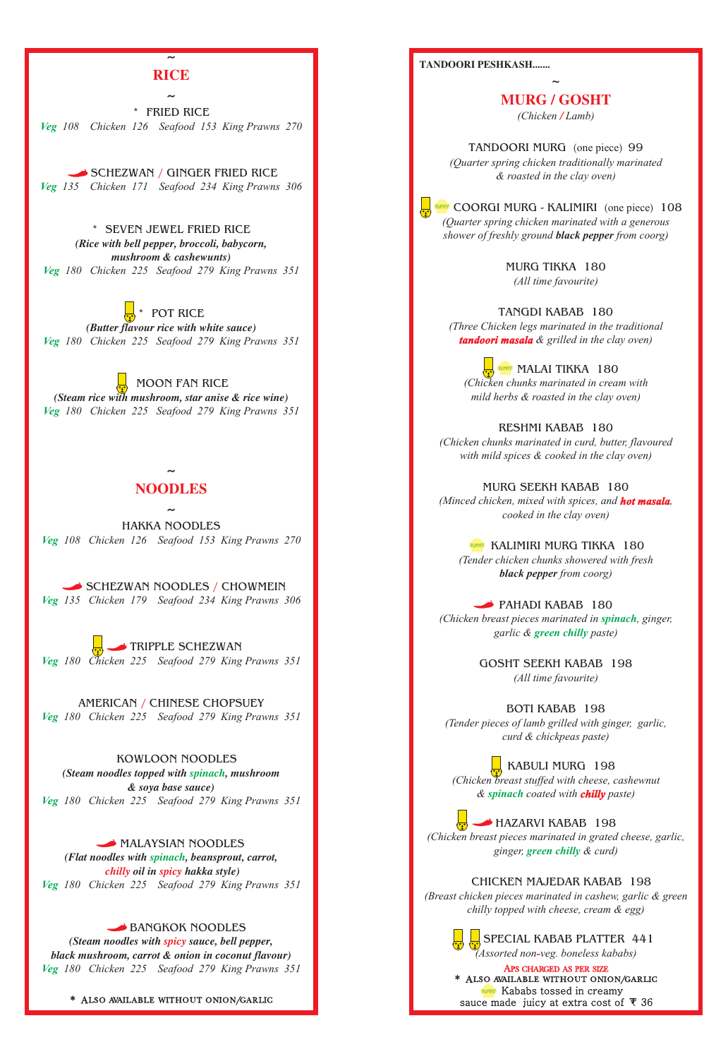**~**

**~**

**~**

\* FRIED RICE *Veg 108 Chicken 126 Seafood 153 King Prawns 270*

SCHEZWAN / GINGER FRIED RICE *Veg 135 Chicken 171 Seafood 234 King Prawns 306*

\* SEVEN JEWEL FRIED RICE *(Rice with bell pepper, broccoli, babycorn, mushroom & cashewunts) Veg 180 Chicken 225 Seafood 279 King Prawns 351*

SCHEZWAN NOODLES / CHOWMEIN *Veg 135 Chicken 179 Seafood 234 King Prawns 306*

#### BANGKOK NOODLES

\* POT RICE *(Butter flavour rice with white sauce) Veg 180 Chicken 225 Seafood 279 King Prawns 351*

AMERICAN / CHINESE CHOPSUEY *Veg 180 Chicken 225 Seafood 279 King Prawns 351*

 MOON FAN RICE *(Steam rice with mushroom, star anise & rice wine) Veg 180 Chicken 225 Seafood 279 King Prawns 351*

MALAYSIAN NOODLES *(Flat noodles with , beansprout, carrot, spinach oil in hakka style) chilly spicy Veg 180 Chicken 225 Seafood 279 King Prawns 351*

# **RICE**

HAKKA NOODLES *Veg 108 Chicken 126 Seafood 153 King Prawns 270*

(*Steam noodles with spicy sauce, bell pepper, black mushroom, carrot & onion in coconut flavour) Veg 180 Chicken 225 Seafood 279 King Prawns 351*

# **NOODLES**

#### APS CHARGED AS PER SIZE \* Also available without onion/garlic **WHAY** Kababs tossed in creamy sauce made juicy at extra cost of  $\overline{\tau}$  36

 TRIPPLE SCHEZWAN *Veg 180 Chicken 225 Seafood 279 King Prawns 351*

TANGDI KABAB 180 *(Three Chicken legs marinated in the traditional*  **tandoori masala** & grilled in the clay oven)

 KOWLOON NOODLES (Steam noodles topped with spinach, mushroom *& soya base sauce) Veg 180 Chicken 225 Seafood 279 King Prawns 351*

PAHADI KABAB 180 (Chicken breast pieces marinated in spinach, ginger, garlic & **green chilly** paste)

 KABULI MURG 198 *(Chicken breast stuffed with cheese, cashewnut*   $\&$  spinach coated with **chilly** paste)

TANDOORI MURG (one piece) 99 *(Quarter spring chicken traditionally marinated & roasted in the clay oven)*

COORGI MURG - KALIMIRI (one piece) 108 *(Quarter spring chicken marinated with a generous shower of freshly ground black pepper from coorg)*

**MALAI TIKKA** 180 *(Chicken chunks marinated in cream with mild herbs & roasted in the clay oven)*

**WHY KALIMIRI MURG TIKKA 180** *(Tender chicken chunks showered with fresh black pepper from coorg)*

*(Chicken breast pieces marinated in grated cheese, garlic,*  ginger, **green chilly** & curd)

\* Also available without onion/garlic

**TANDOORI PESHKASH.......**

**~**

 $\frac{1}{2}$  SPECIAL KABAB PLATTER 441 *(Assorted non veg. boneless kababs) -*

HAZARVI KABAB 198

MURG TIKKA 180 *(All time favourite)*

RESHMI KABAB 180 *(Chicken chunks marinated in curd, butter, flavoured with mild spices & cooked in the clay oven)*

MURG SEEKH KABAB 180 *(Minced chicken, mixed with spices, and hot masala, cooked in the clay oven)*

> GOSHT SEEKH KABAB 198 *(All time favourite)*

BOTI KABAB 198 *(Tender pieces of lamb grilled with ginger, garlic, curd & chickpeas paste)*

# CHICKEN MAJEDAR KABAB 198 *(Breast chicken pieces marinated in cashew, garlic & green chilly topped with cheese, cream & egg)*

**MURG / GOSHT** *(Chicken Lamb) /*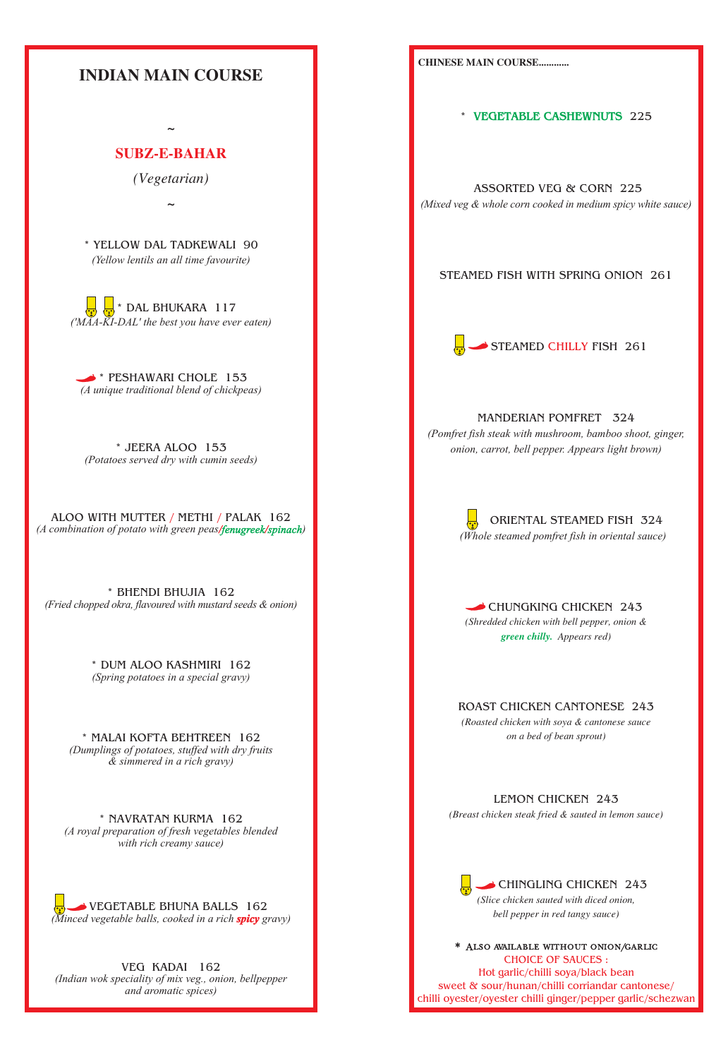VEGETABLE BHUNA BALLS 162 *(Minced vegetable balls, cooked in a rich spicy gravy)* 

\* NAVRATAN KURMA 162

\* BHENDI BHUJIA 162 *(Fried chopped okra, flavoured with mustard seeds & onion)*

> \* DUM ALOO KASHMIRI 162 *(Spring potatoes in a special gravy)*

\* MALAI KOFTA BEHTREEN 162 *(Dumplings of potatoes, stuffed with dry fruits & simmered in a rich gravy)*



VEG KADAI 162 *(Indian wok speciality of mix veg., onion, bellpepper and aromatic spices)*

*(A royal preparation of fresh vegetables blended with rich creamy sauce)*

> CHINGLING CHICKEN 243 *(Slice chicken sauted with diced onion, bell pepper in red tangy sauce)*

**CHINESE MAIN COURSE............**

#### STEAMED FISH WITH SPRING ONION 261

MANDERIAN POMFRET 324

ROAST CHICKEN CANTONESE 243

\* 225 **VEGETABLE CASHEWNUTS**

*(Roasted chicken with soya & cantonese sauce on a bed of bean sprout)*

 ASSORTED VEG & CORN 225 *(Mixed veg & whole corn cooked in medium spicy white sauce)*

CHOICE OF SAUCES : Hot garlic/chilli soya/black bean sweet & sour/hunan/chilli corriandar cantonese/ chilli oyester/oyester chilli ginger/pepper garlic/schezwan \* Also available without onion/garlic

LEMON CHICKEN 243 *(Breast chicken steak fried & sauted in lemon sauce)*



 ORIENTAL STEAMED FISH 324  *(Whole steamed pomfret fish in oriental sauce)*

CHUNGKING CHICKEN 243 *(Shredded chicken with bell pepper, onion &*  **green chilly.** Appears red)

*(Pomfret fish steak with mushroom, bamboo shoot, ginger, onion, carrot, bell pepper. Appears light brown)*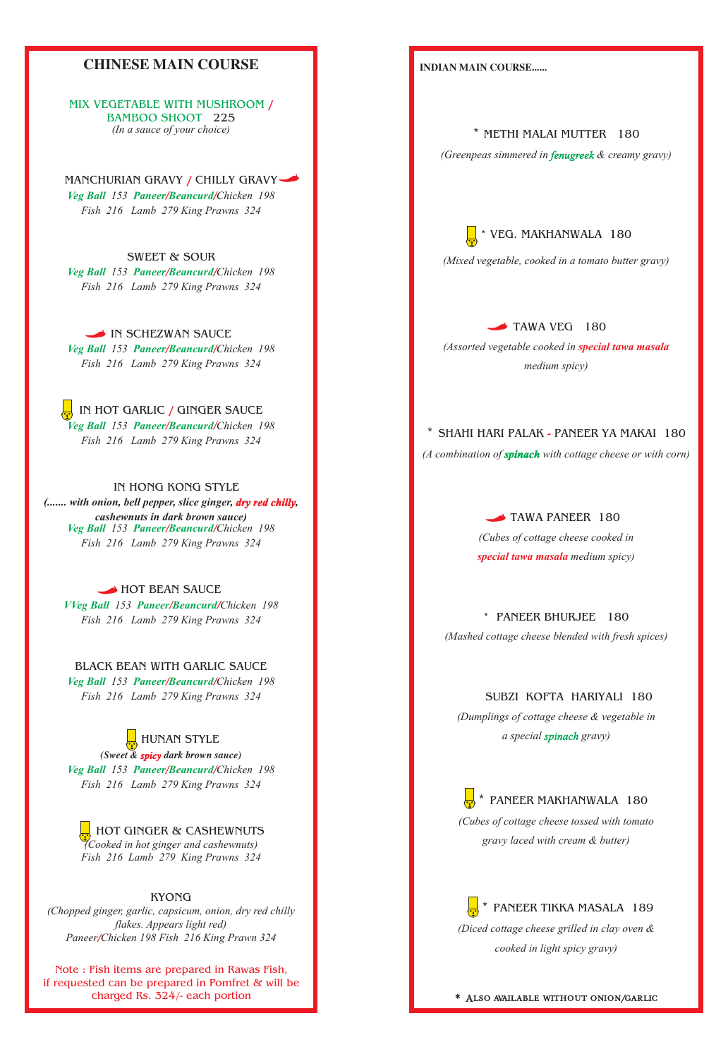# **CHINESE MAIN COURSE**

#### IN HONG KONG STYLE

#### BLACK BEAN WITH GARLIC SAUCE

### BAMBOO SHOOT 225 MIX VEGETABLE WITH MUSHROOM / *(In a sauce of your choice)*

MANCHURIAN GRAVY / CHILLY GRAVY *Veg Ball* 153 Paneer/Beancurd/Chicken 198 *Fish 216 Lamb 279 King Prawns 324*

IN SCHEZWAN SAUCE *Veg Ball* 153 Paneer/Beancurd/Chicken 198 *Fish 216 Lamb 279 King Prawns 324*

#### KYONG

SWEET & SOUR *Veg Ball* 153 Paneer/Beancurd/Chicken 198 *Fish 216 Lamb 279 King Prawns 324*

IN HOT GARLIC / GINGER SAUCE *Veg Ball* 153 Paneer/Beancurd/Chicken 198 *Fish 216 Lamb 279 King Prawns 324*

(....... with onion, bell pepper, slice ginger, **dry red chilly**, *cashewnuts in dark brown sauce) Veg Ball* 153 Paneer/Beancurd/Chicken 198 *Fish 216 Lamb 279 King Prawns 324*

#### HOT BEAN SAUCE

*VVeg Ball* 153 Paneer/Beancurd/Chicken 198 *Fish 216 Lamb 279 King Prawns 324*

*Veg Ball* 153 Paneer/Beancurd/Chicken 198 *Fish 216 Lamb 279 King Prawns 324*

**HUNAN STYLE** 

(Sweet & **spicy** dark brown sauce) *Veg Ball* 153 Paneer/Beancurd/Chicken 198 *Fish 216 Lamb 279 King Prawns 324*

 $\frac{1}{\mathcal{L}}$  HOT GINGER & CASHEWNUTS *(Cooked in hot ginger and cashewnuts) Fish 216 Lamb 279 King Prawns 324*

*(Cubes of cottage cheese cooked in special tawa masala* medium spicy)

*(Chopped ginger, garlic, capsicum, onion, dry red chilly flakes. Appears light red) Paneer Chicken 198 Fish 216 King Prawn 324 /*

#### **INDIAN MAIN COURSE......**

# \* METHI MALAI MUTTER 180

(Greenpeas simmered in fenugreek & creamy gravy)



\* PANEER BHURJEE 180

#### SUBZI KOFTA HARIYALI 180

*(Mixed vegetable, cooked in a tomato butter gravy)*

TAWA VEG 180

*(Assorted vegetable cooked in special tawa masala medium spicy)*

# \* SHAHI HARI PALAK - PANEER YA MAKAI 180

(A combination of **spinach** with cottage cheese or with corn)

#### TAWA PANEER 180

 \* PANEER MAKHANWALA 180 *(Cubes of cottage cheese tossed with tomato* 

*(Mashed cottage cheese blended with fresh spices)*

*(Dumplings of cottage cheese & vegetable in a special gravy) spinach*

*gravy laced with cream & butter)*

# PANEER TIKKA MASALA 189

*(Diced cottage cheese grilled in clay oven &* 

*cooked in light spicy gravy)*

#### \* Also available without onion/garlic

Note : Fish items are prepared in Rawas Fish, if requested can be prepared in Pomfret & will be charged Rs. 324/- each portion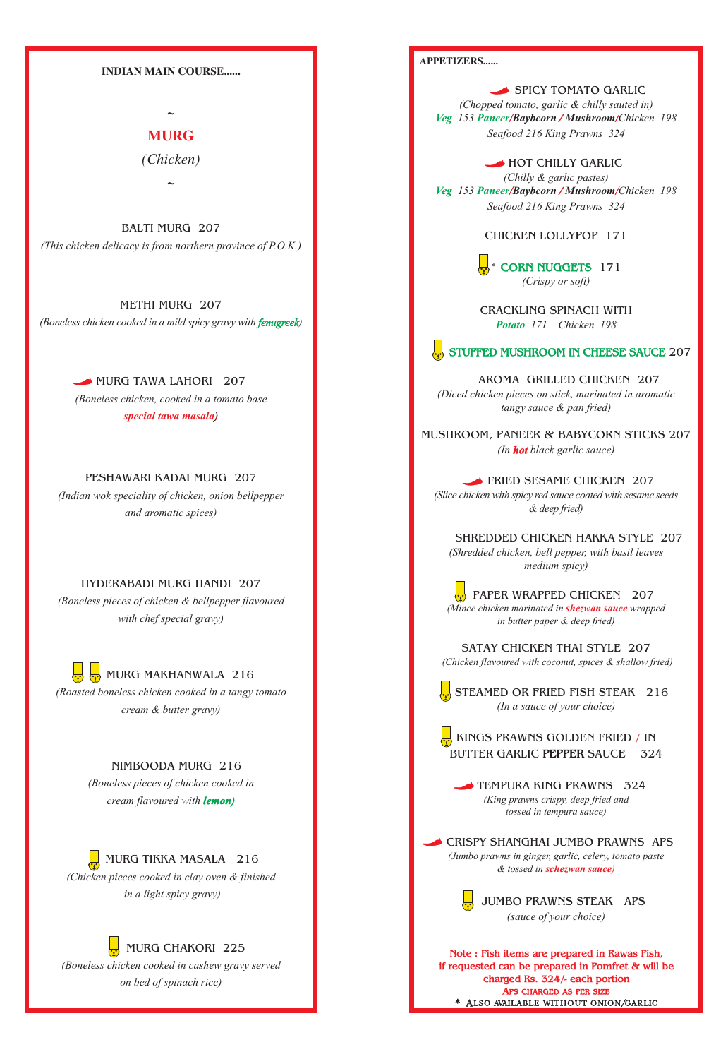#### **APPETIZERS......**

CHICKEN LOLLYPOP 171

MUSHROOM, PANEER & BABYCORN STICKS 207 (In **hot** black garlic sauce)

> **PAPER WRAPPED CHICKEN** 207 *(Mince chicken marinated in shezwan sauce wrapped in butter paper & deep fried)*

KINGS PRAWNS GOLDEN FRIED / IN BUTTER GARLIC **PEPPER** SAUCE 324

TEMPURA KING PRAWNS 324 *(King prawns crispy, deep fried and tossed in tempura sauce)*

SATAY CHICKEN THAI STYLE 207  *(Chicken flavoured with coconut, spices & shallow fried)*

SPICY TOMATO GARLIC *(Chopped tomato, garlic & chilly sauted in) Veg* 153 *Paneer/Baybcorn* / *Mushroom/Chicken* 198 *Seafood 216 King Prawns 324*

 STEAMED OR FRIED FISH STEAK 216 *(In a sauce of your choice)*

\* CORN NUGGETS 171 *(Crispy or soft)*

 HOT CHILLY GARLIC *(Chilly & garlic pastes) Veg* 153 *Paneer/Baybcorn* / *Mushroom/Chicken* 198 *Seafood 216 King Prawns 324*

FRIED SESAME CHICKEN 207 *(Slice chicken with spicy red sauce coated with sesame seeds & deep fried)*

 AROMA GRILLED CHICKEN 207 *(Diced chicken pieces on stick, marinated in aromatic tangy sauce & pan fried)*

# CRISPY SHANGHAI JUMBO PRAWNS APS

CRACKLING SPINACH WITH  *171 Chicken 198 Potato*

### STUFFED MUSHROOM IN CHEESE SAUCE 207

 SHREDDED CHICKEN HAKKA STYLE 207 *(Shredded chicken, bell pepper, with basil leaves medium spicy)*



MURG TAWA LAHORI 207 *(Boneless chicken, cooked in a tomato base* 

> *(Jumbo prawns in ginger, garlic, celery, tomato paste & tossed in schezwan sauce)*

**B** MURG MAKHANWALA 216 *(Roasted boneless chicken cooked in a tangy tomato cream & butter gravy)*

#### **INDIAN MAIN COURSE......**

**~**

*(Chicken)*

**~**

#### PESHAWARI KADAI MURG 207

#### HYDERABADI MURG HANDI 207

BALTI MURG 207 *(This chicken delicacy is from northern province of P.O.K.)*

### NIMBOODA MURG 216



# **MURG**

*(Indian wok speciality of chicken, onion bellpepper and aromatic spices)*

METHI MURG 207 *(Boneless chicken cooked in a mild spicy gravy with ) fenugreek*

 MURG TIKKA MASALA 216 *(Chicken pieces cooked in clay oven & finished*

> APS CHARGED AS PER SIZE \* Also available without onion/garlic **Note : Fish items are prepared in Rawas Fish, if requested can be prepared in Pomfret & will be charged Rs. 324/- each portion**

*(Boneless pieces of chicken & bellpepper flavoured with chef special gravy)*

> *(Boneless pieces of chicken cooked in cream flavoured with lemon)*

> > *in a light spicy gravy)*

*(Boneless chicken cooked in cashew gravy served on bed of spinach rice)*

*special tawa masala)*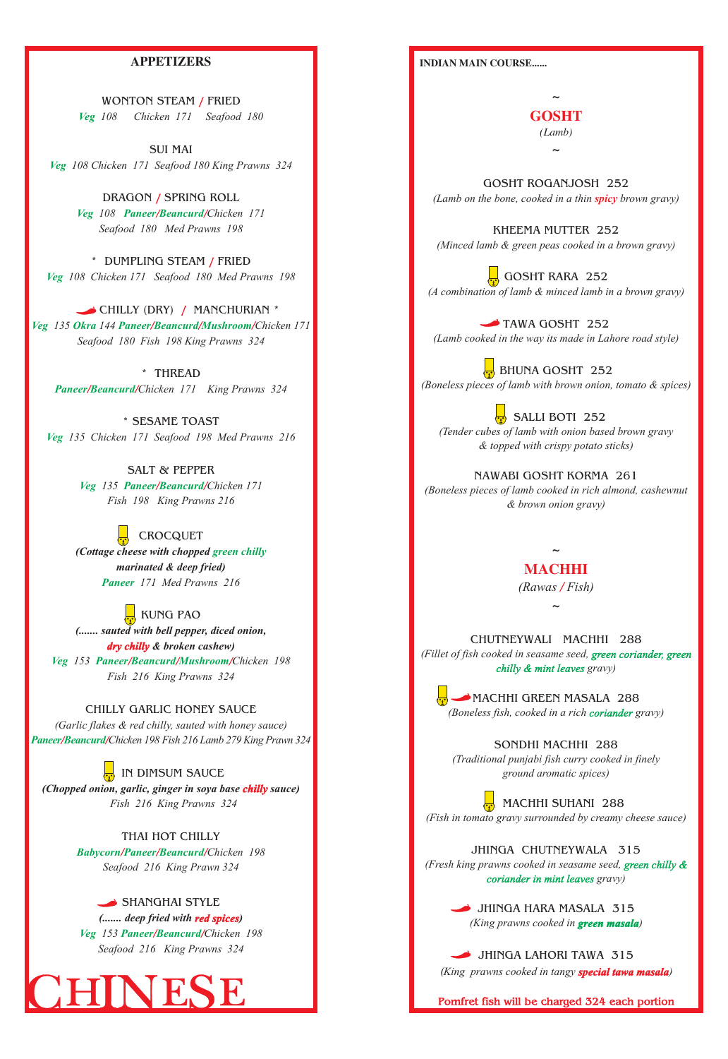#### **INDIAN MAIN COURSE......**

GOSHT ROGANJOSH 252 (Lamb on the bone, cooked in a thin **spicy** brown gravy)

**~**

GOSHT RARA 252 *(A combination of lamb & minced lamb in a brown gravy)*

KHEEMA MUTTER 252 *(Minced lamb & green peas cooked in a brown gravy)*

TAWA GOSHT 252 *(Lamb cooked in the way its made in Lahore road style)*

**BHUNA GOSHT** 252 *(Boneless pieces of lamb with brown onion, tomato & spices)*

 $\frac{1}{10}$  SALLI BOTI 252 *(Tender cubes of lamb with onion based brown gravy & topped with crispy potato sticks)*

MACHHI GREEN MASALA 288 (Boneless fish, cooked in a rich coriander gravy)

JHINGA CHUTNEYWALA 315 *(Fresh king prawns cooked in seasame seed, green chilly & coriander in mint leaves gravy)* 

> JHINGA HARA MASALA 315 (King prawns cooked in **green masala**)

JHINGA LAHORI TAWA 315

(King prawns cooked in tangy **special tawa masala**)

**~** *(Lamb)* **GOSHT**

NAWABI GOSHT KORMA 261 *(Boneless pieces of lamb cooked in rich almond, cashewnut & brown onion gravy)*

**~**

\* THREAD Paneer/Beancurd/Chicken 171 King Prawns 324

> **~ MACHHI**

SONDHI MACHHI 288 *(Traditional punjabi fish curry cooked in finely ground aromatic spices)*

 MACHHI SUHANI 288 *(Fish in tomato gravy surrounded by creamy cheese sauce)*

WONTON STEAM / FRIED *Veg 108 Chicken 171 Seafood 180*

> CHUTNEYWALI MACHHI 288 *(Fillet of fish cooked in seasame seed, green coriander, green gravy) chilly & mint leaves*

DRAGON / SPRING ROLL *Veg* 108 **Paneer/Beancurd/Chicken 171** *Seafood 180 Med Prawns 198*

\* DUMPLING STEAM / FRIED *Veg 108 Chicken 171 Seafood 180 Med Prawns 198*

*(Rawas Fish) /*

CHILLY (DRY) / MANCHURIAN \* *Veg* 135 Okra 144 Paneer/Beancurd/Mushroom/Chicken 171 *Seafood 180 Fish 198 King Prawns 324*

> **CROCQUET** (Cottage cheese with chopped green chilly *Paneer 171 Med Prawns 216 marinated & deep fried)*

KUNG PAO *Veg* 153 Paneer/Beancurd/Mushroom/Chicken 198 *(....... sauted with bell pepper, diced onion,*  dry chilly & broken cashew) *Fish 216 King Prawns 324*

(Chopped onion, garlic, ginger in soya base **chilly** sauce)  *Fish 216 King Prawns 324*

#### **APPETIZERS**

SHANGHAI STYLE *Veg* 153 Paneer/Beancurd/Chicken 198 (....... deep fried with **red spices**) *Seafood 216 King Prawns 324*

ESE Pomfret fish will be charged 324 each portion

#### CHILLY GARLIC HONEY SAUCE

# IN DIMSUM SAUCE

#### THAI HOT CHILLY

SUI MAI *Veg 108 Chicken 171 Seafood 180 King Prawns 324*

\* SESAME TOAST *Veg 135 Chicken 171 Seafood 198 Med Prawns 216*

> SALT & PEPPER *Veg* 135 Paneer/Beancurd/Chicken 171 *Fish 198 King Prawns 216*

*Paneer Beancurd Chicken 198 Fish 216 Lamb 279 King Prawn 324 / / (Garlic flakes & red chilly, sauted with honey sauce)*

*Babycorn Paneer Beancurd Chicken 198 / / /*

*Seafood 216 King Prawn 324*